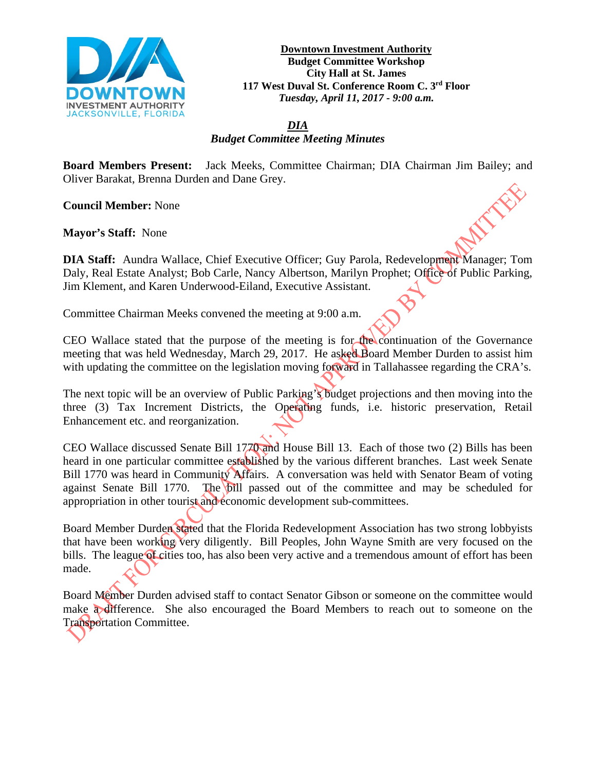

**Downtown Investment Authority Budget Committee Workshop City Hall at St. James 117 West Duval St. Conference Room C. 3rd Floor** *Tuesday, April 11, 2017 - 9:00 a.m.*

*DIA Budget Committee Meeting Minutes*

**Board Members Present:** Jack Meeks, Committee Chairman; DIA Chairman Jim Bailey; and Oliver Barakat, Brenna Durden and Dane Grey.

**Council Member:** None

**Mayor's Staff:** None

**DIA Staff:** Aundra Wallace, Chief Executive Officer; Guy Parola, Redevelopment Manager; Tom Daly, Real Estate Analyst; Bob Carle, Nancy Albertson, Marilyn Prophet; Office of Public Parking, Jim Klement, and Karen Underwood-Eiland, Executive Assistant.

Committee Chairman Meeks convened the meeting at 9:00 a.m.

CEO Wallace stated that the purpose of the meeting is for the continuation of the Governance meeting that was held Wednesday, March 29, 2017. He asked Board Member Durden to assist him with updating the committee on the legislation moving forward in Tallahassee regarding the CRA's.

The next topic will be an overview of Public Parking's budget projections and then moving into the three (3) Tax Increment Districts, the Operating funds, i.e. historic preservation, Retail Enhancement etc. and reorganization.

CEO Wallace discussed Senate Bill 1770 and House Bill 13. Each of those two (2) Bills has been heard in one particular committee established by the various different branches. Last week Senate Bill 1770 was heard in Community Affairs. A conversation was held with Senator Beam of voting against Senate Bill 1770. The bill passed out of the committee and may be scheduled for appropriation in other tourist and economic development sub-committees.

Board Member Durden stated that the Florida Redevelopment Association has two strong lobbyists that have been working very diligently. Bill Peoples, John Wayne Smith are very focused on the bills. The league of cities too, has also been very active and a tremendous amount of effort has been made.

Board Member Durden advised staff to contact Senator Gibson or someone on the committee would make a difference. She also encouraged the Board Members to reach out to someone on the Transportation Committee.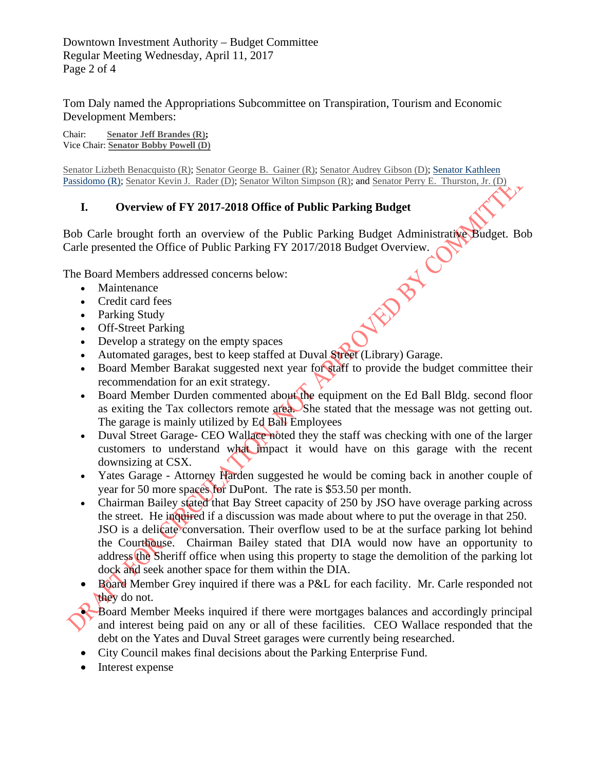Downtown Investment Authority – Budget Committee Regular Meeting Wednesday, April 11, 2017 Page 2 of 4

Tom Daly named the Appropriations Subcommittee on Transpiration, Tourism and Economic Development Members:

Chair: **Senator [Jeff Brandes](https://www.flsenate.gov/Senators/S24) (R);**  Vice Chair: **Senator [Bobby Powell](https://www.flsenate.gov/Senators/S30) (D)**

[Senator Lizbeth Benacquisto \(R\);](https://www.flsenate.gov/Senators/S27) [Senator George B. Gainer \(R\);](https://www.flsenate.gov/Senators/S2) [Senator Audrey Gibson \(D\);](https://www.flsenate.gov/Senators/S6) [Senator Kathleen](https://www.flsenate.gov/Senators/S28)  [Passidomo \(R\);](https://www.flsenate.gov/Senators/S28) [Senator Kevin J. Rader \(D\);](https://www.flsenate.gov/Senators/S29) [Senator Wilton Simpson \(R\);](https://www.flsenate.gov/Senators/S10) an[d Senator Perry E. Thurston, Jr. \(D\)](https://www.flsenate.gov/Senators/S33)

## **I. Overview of FY 2017-2018 Office of Public Parking Budget**

Bob Carle brought forth an overview of the Public Parking Budget Administrative Budget. Bob Carle presented the Office of Public Parking FY 2017/2018 Budget Overview.<br>
The Board Members addressed concerns below:<br>
• Maintenance<br>
• Credit card fees<br>
• Parking Study<br>
• Off-Street Post:

The Board Members addressed concerns below:

- Maintenance
- Credit card fees
- Parking Study
- Off-Street Parking
- Develop a strategy on the empty spaces
- Automated garages, best to keep staffed at Duval Street (Library) Garage.
- Board Member Barakat suggested next year for staff to provide the budget committee their recommendation for an exit strategy.
- Board Member Durden commented about the equipment on the Ed Ball Bldg. second floor as exiting the Tax collectors remote area. She stated that the message was not getting out. The garage is mainly utilized by Ed Ball Employees
- Duval Street Garage- CEO Wallace noted they the staff was checking with one of the larger customers to understand what impact it would have on this garage with the recent downsizing at CSX.
- Yates Garage Attorney Harden suggested he would be coming back in another couple of year for 50 more spaces for DuPont. The rate is \$53.50 per month.
- Chairman Bailey stated that Bay Street capacity of 250 by JSO have overage parking across the street. He inquired if a discussion was made about where to put the overage in that 250. JSO is a delicate conversation. Their overflow used to be at the surface parking lot behind the Courthouse. Chairman Bailey stated that DIA would now have an opportunity to address the Sheriff office when using this property to stage the demolition of the parking lot dock and seek another space for them within the DIA.
- Board Member Grey inquired if there was a P&L for each facility. Mr. Carle responded not they do not.
- Board Member Meeks inquired if there were mortgages balances and accordingly principal and interest being paid on any or all of these facilities. CEO Wallace responded that the debt on the Yates and Duval Street garages were currently being researched.
- City Council makes final decisions about the Parking Enterprise Fund.
- Interest expense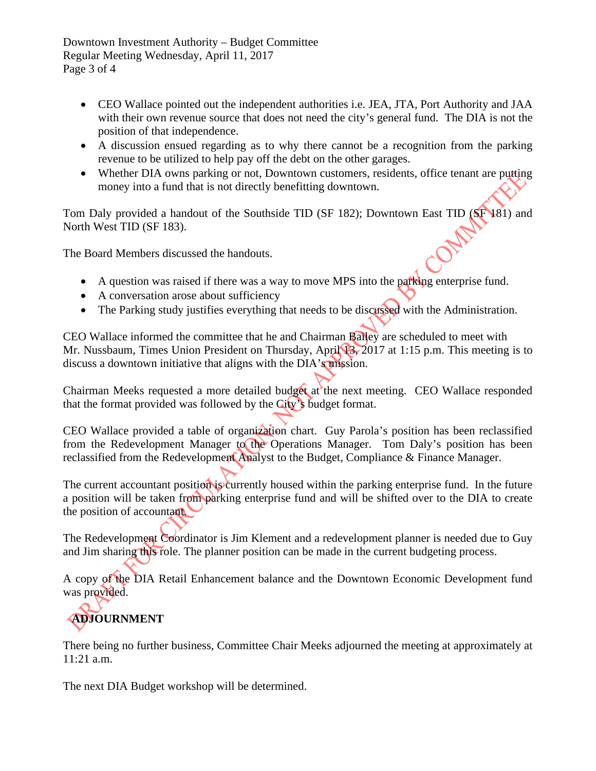Downtown Investment Authority – Budget Committee Regular Meeting Wednesday, April 11, 2017 Page 3 of 4

- CEO Wallace pointed out the independent authorities i.e. JEA, JTA, Port Authority and JAA with their own revenue source that does not need the city's general fund. The DIA is not the position of that independence.
- A discussion ensued regarding as to why there cannot be a recognition from the parking revenue to be utilized to help pay off the debt on the other garages.
- Whether DIA owns parking or not, Downtown customers, residents, office tenant are putting money into a fund that is not directly benefitting downtown.

Tom Daly provided a handout of the Southside TID (SF 182); Downtown East TID (SF 181) and North West TID (SF 183).

The Board Members discussed the handouts.

- A question was raised if there was a way to move MPS into the parking enterprise fund.
- A conversation arose about sufficiency
- The Parking study justifies everything that needs to be discussed with the Administration.

CEO Wallace informed the committee that he and Chairman Bailey are scheduled to meet with Mr. Nussbaum, Times Union President on Thursday, April 13, 2017 at 1:15 p.m. This meeting is to discuss a downtown initiative that aligns with the DIA's mission.

Chairman Meeks requested a more detailed budget at the next meeting. CEO Wallace responded that the format provided was followed by the City's budget format.

CEO Wallace provided a table of organization chart. Guy Parola's position has been reclassified from the Redevelopment Manager to the Operations Manager. Tom Daly's position has been reclassified from the Redevelopment Analyst to the Budget, Compliance & Finance Manager.

The current accountant position is currently housed within the parking enterprise fund. In the future a position will be taken from parking enterprise fund and will be shifted over to the DIA to create the position of accountant.

The Redevelopment Coordinator is Jim Klement and a redevelopment planner is needed due to Guy and Jim sharing this role. The planner position can be made in the current budgeting process.

A copy of the DIA Retail Enhancement balance and the Downtown Economic Development fund was provided.

## **ADJOURNMENT**

There being no further business, Committee Chair Meeks adjourned the meeting at approximately at 11:21 a.m.

The next DIA Budget workshop will be determined.